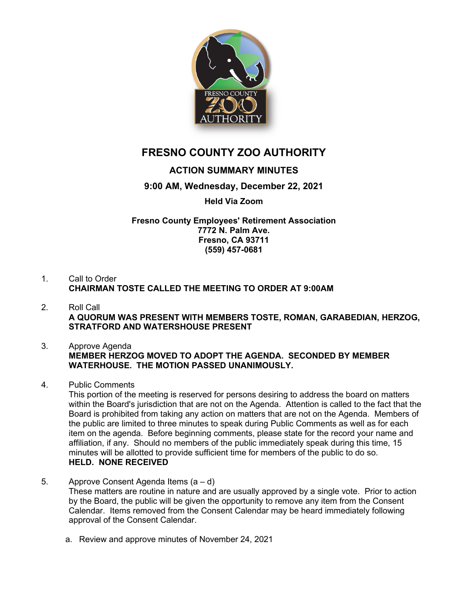

# **FRESNO COUNTY ZOO AUTHORITY**

## **ACTION SUMMARY MINUTES**

### **9:00 AM, Wednesday, December 22, 2021**

#### **Held Via Zoom**

**Fresno County Employees' Retirement Association 7772 N. Palm Ave. Fresno, CA 93711 (559) 457-0681**

#### 1. Call to Order **CHAIRMAN TOSTE CALLED THE MEETING TO ORDER AT 9:00AM**

2. Roll Call **A QUORUM WAS PRESENT WITH MEMBERS TOSTE, ROMAN, GARABEDIAN, HERZOG, STRATFORD AND WATERSHOUSE PRESENT**

#### 3. Approve Agenda **MEMBER HERZOG MOVED TO ADOPT THE AGENDA. SECONDED BY MEMBER WATERHOUSE. THE MOTION PASSED UNANIMOUSLY.**

4. Public Comments

This portion of the meeting is reserved for persons desiring to address the board on matters within the Board's jurisdiction that are not on the Agenda. Attention is called to the fact that the Board is prohibited from taking any action on matters that are not on the Agenda. Members of the public are limited to three minutes to speak during Public Comments as well as for each item on the agenda. Before beginning comments, please state for the record your name and affiliation, if any. Should no members of the public immediately speak during this time, 15 minutes will be allotted to provide sufficient time for members of the public to do so. **HELD. NONE RECEIVED**

- 5. Approve Consent Agenda Items (a d) These matters are routine in nature and are usually approved by a single vote. Prior to action by the Board, the public will be given the opportunity to remove any item from the Consent Calendar. Items removed from the Consent Calendar may be heard immediately following approval of the Consent Calendar.
	- a. Review and approve minutes of November 24, 2021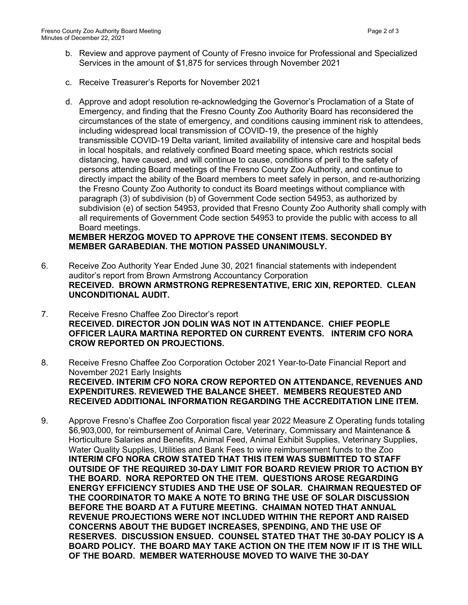- c. Receive Treasurer's Reports for November 2021
- d. Approve and adopt resolution re-acknowledging the Governor's Proclamation of a State of Emergency, and finding that the Fresno County Zoo Authority Board has reconsidered the circumstances of the state of emergency, and conditions causing imminent risk to attendees, including widespread local transmission of COVID-19, the presence of the highly transmissible COVID-19 Delta variant, limited availability of intensive care and hospital beds in local hospitals, and relatively confined Board meeting space, which restricts social distancing, have caused, and will continue to cause, conditions of peril to the safety of persons attending Board meetings of the Fresno County Zoo Authority, and continue to directly impact the ability of the Board members to meet safely in person, and re-authorizing the Fresno County Zoo Authority to conduct its Board meetings without compliance with paragraph (3) of subdivision (b) of Government Code section 54953, as authorized by subdivision (e) of section 54953, provided that Fresno County Zoo Authority shall comply with all requirements of Government Code section 54953 to provide the public with access to all Board meetings.

#### **MEMBER HERZOG MOVED TO APPROVE THE CONSENT ITEMS. SECONDED BY MEMBER GARABEDIAN. THE MOTION PASSED UNANIMOUSLY.**

- 6. Receive Zoo Authority Year Ended June 30, 2021 financial statements with independent auditor's report from Brown Armstrong Accountancy Corporation **RECEIVED. BROWN ARMSTRONG REPRESENTATIVE, ERIC XIN, REPORTED. CLEAN UNCONDITIONAL AUDIT.**
- 7. Receive Fresno Chaffee Zoo Director's report **RECEIVED. DIRECTOR JON DOLIN WAS NOT IN ATTENDANCE. CHIEF PEOPLE OFFICER LAURA MARTINA REPORTED ON CURRENT EVENTS. INTERIM CFO NORA CROW REPORTED ON PROJECTIONS.**
- 8. Receive Fresno Chaffee Zoo Corporation October 2021 Year-to-Date Financial Report and November 2021 Early Insights **RECEIVED. INTERIM CFO NORA CROW REPORTED ON ATTENDANCE, REVENUES AND EXPENDITURES. REVIEWED THE BALANCE SHEET. MEMBERS REQUESTED AND RECEIVED ADDITIONAL INFORMATION REGARDING THE ACCREDITATION LINE ITEM.**
- 9. Approve Fresno's Chaffee Zoo Corporation fiscal year 2022 Measure Z Operating funds totaling \$6,903,000, for reimbursement of Animal Care, Veterinary, Commissary and Maintenance & Horticulture Salaries and Benefits, Animal Feed, Animal Exhibit Supplies, Veterinary Supplies, Water Quality Supplies, Utilities and Bank Fees to wire reimbursement funds to the Zoo **INTERIM CFO NORA CROW STATED THAT THIS ITEM WAS SUBMITTED TO STAFF OUTSIDE OF THE REQUIRED 30-DAY LIMIT FOR BOARD REVIEW PRIOR TO ACTION BY THE BOARD. NORA REPORTED ON THE ITEM. QUESTIONS AROSE REGARDING ENERGY EFFICIENCY STUDIES AND THE USE OF SOLAR. CHAIRMAN REQUESTED OF THE COORDINATOR TO MAKE A NOTE TO BRING THE USE OF SOLAR DISCUSSION BEFORE THE BOARD AT A FUTURE MEETING. CHAIMAN NOTED THAT ANNUAL REVENUE PROJECTIONS WERE NOT INCLUDED WITHIN THE REPORT AND RAISED CONCERNS ABOUT THE BUDGET INCREASES, SPENDING, AND THE USE OF RESERVES. DISCUSSION ENSUED. COUNSEL STATED THAT THE 30-DAY POLICY IS A BOARD POLICY. THE BOARD MAY TAKE ACTION ON THE ITEM NOW IF IT IS THE WILL OF THE BOARD. MEMBER WATERHOUSE MOVED TO WAIVE THE 30-DAY**